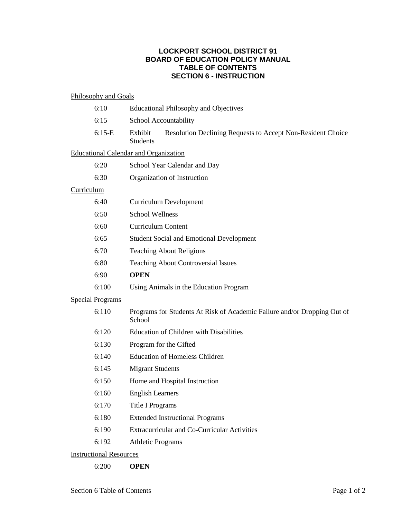# **LOCKPORT SCHOOL DISTRICT 91 BOARD OF EDUCATION POLICY MANUAL TABLE OF CONTENTS SECTION 6 - INSTRUCTION**

### Philosophy and Goals

|                                              | 6:10     | <b>Educational Philosophy and Objectives</b>                                              |
|----------------------------------------------|----------|-------------------------------------------------------------------------------------------|
|                                              | 6:15     | School Accountability                                                                     |
|                                              | $6:15-E$ | Exhibit<br>Resolution Declining Requests to Accept Non-Resident Choice<br><b>Students</b> |
| <b>Educational Calendar and Organization</b> |          |                                                                                           |
|                                              | 6:20     | School Year Calendar and Day                                                              |
|                                              | 6:30     | Organization of Instruction                                                               |
| Curriculum                                   |          |                                                                                           |
|                                              | 6:40     | <b>Curriculum Development</b>                                                             |
|                                              | 6:50     | <b>School Wellness</b>                                                                    |
|                                              | 6:60     | <b>Curriculum Content</b>                                                                 |
|                                              | 6:65     | <b>Student Social and Emotional Development</b>                                           |
|                                              | 6:70     | <b>Teaching About Religions</b>                                                           |
|                                              | 6:80     | <b>Teaching About Controversial Issues</b>                                                |
|                                              | 6:90     | <b>OPEN</b>                                                                               |
|                                              | 6:100    | Using Animals in the Education Program                                                    |
| <b>Special Programs</b>                      |          |                                                                                           |
|                                              | 6:110    | Programs for Students At Risk of Academic Failure and/or Dropping Out of<br>School        |
|                                              | 6:120    | <b>Education of Children with Disabilities</b>                                            |
|                                              | 6:130    | Program for the Gifted                                                                    |
|                                              | 6:140    | <b>Education of Homeless Children</b>                                                     |
|                                              | 6:145    | <b>Migrant Students</b>                                                                   |
|                                              | 6:150    | Home and Hospital Instruction                                                             |

- 6:160 English Learners
- 6:170 Title I Programs
- 6:180 Extended Instructional Programs
- 6:190 Extracurricular and Co-Curricular Activities
- 6:192 Athletic Programs

## Instructional Resources

6:200 **OPEN**